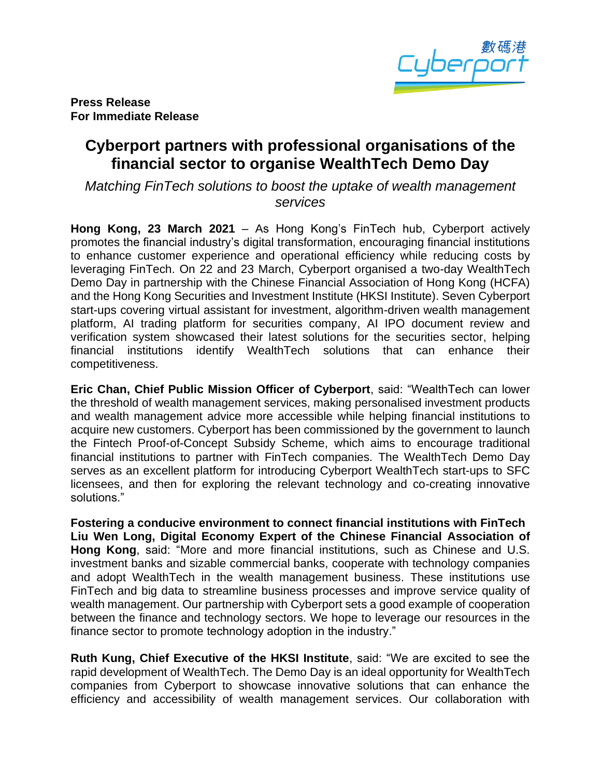

**Press Release For Immediate Release**

# **Cyberport partners with professional organisations of the financial sector to organise WealthTech Demo Day**

*Matching FinTech solutions to boost the uptake of wealth management services*

**Hong Kong, 23 March 2021** – As Hong Kong's FinTech hub, Cyberport actively promotes the financial industry's digital transformation, encouraging financial institutions to enhance customer experience and operational efficiency while reducing costs by leveraging FinTech. On 22 and 23 March, Cyberport organised a two-day WealthTech Demo Day in partnership with the Chinese Financial Association of Hong Kong (HCFA) and the Hong Kong Securities and Investment Institute (HKSI Institute). Seven Cyberport start-ups covering virtual assistant for investment, algorithm-driven wealth management platform, AI trading platform for securities company, AI IPO document review and verification system showcased their latest solutions for the securities sector, helping financial institutions identify WealthTech solutions that can enhance their competitiveness.

**Eric Chan, Chief Public Mission Officer of Cyberport**, said: "WealthTech can lower the threshold of wealth management services, making personalised investment products and wealth management advice more accessible while helping financial institutions to acquire new customers. Cyberport has been commissioned by the government to launch the Fintech Proof-of-Concept Subsidy Scheme, which aims to encourage traditional financial institutions to partner with FinTech companies. The WealthTech Demo Day serves as an excellent platform for introducing Cyberport WealthTech start-ups to SFC licensees, and then for exploring the relevant technology and co-creating innovative solutions."

**Fostering a conducive environment to connect financial institutions with FinTech Liu Wen Long, Digital Economy Expert of the Chinese Financial Association of Hong Kong**, said: "More and more financial institutions, such as Chinese and U.S. investment banks and sizable commercial banks, cooperate with technology companies and adopt WealthTech in the wealth management business. These institutions use FinTech and big data to streamline business processes and improve service quality of wealth management. Our partnership with Cyberport sets a good example of cooperation between the finance and technology sectors. We hope to leverage our resources in the finance sector to promote technology adoption in the industry."

**Ruth Kung, Chief Executive of the HKSI Institute**, said: "We are excited to see the rapid development of WealthTech. The Demo Day is an ideal opportunity for WealthTech companies from Cyberport to showcase innovative solutions that can enhance the efficiency and accessibility of wealth management services. Our collaboration with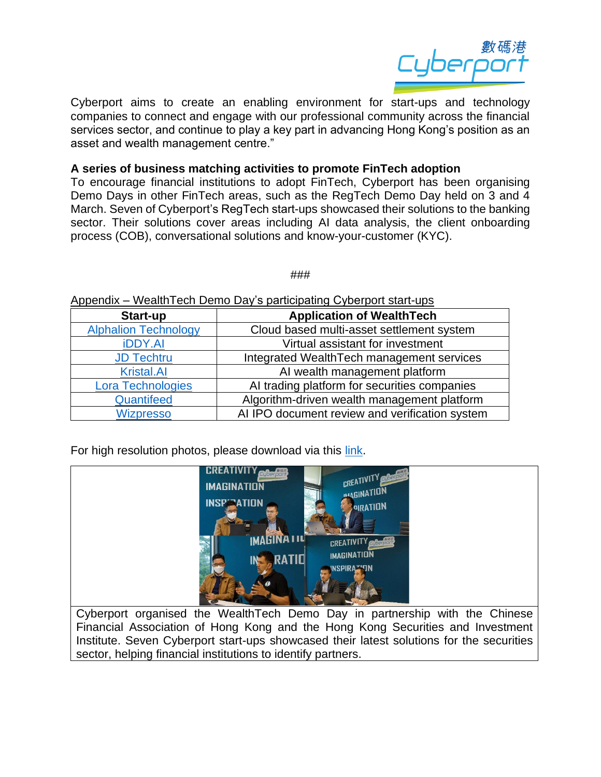

Cyberport aims to create an enabling environment for start-ups and technology companies to connect and engage with our professional community across the financial services sector, and continue to play a key part in advancing Hong Kong's position as an asset and wealth management centre."

## **A series of business matching activities to promote FinTech adoption**

To encourage financial institutions to adopt FinTech, Cyberport has been organising Demo Days in other FinTech areas, such as the RegTech Demo Day held on 3 and 4 March. Seven of Cyberport's RegTech start-ups showcased their solutions to the banking sector. Their solutions cover areas including AI data analysis, the client onboarding process (COB), conversational solutions and know-your-customer (KYC).

###

#### Appendix – WealthTech Demo Day's participating Cyberport start-ups

| Start-up                    | <b>Application of WealthTech</b>               |
|-----------------------------|------------------------------------------------|
| <b>Alphalion Technology</b> | Cloud based multi-asset settlement system      |
| <b>iDDY.AI</b>              | Virtual assistant for investment               |
| <b>JD Techtru</b>           | Integrated Wealth Tech management services     |
| <b>Kristal.AI</b>           | AI wealth management platform                  |
| <b>Lora Technologies</b>    | AI trading platform for securities companies   |
| Quantifeed                  | Algorithm-driven wealth management platform    |
| <b>Wizpresso</b>            | AI IPO document review and verification system |

For high resolution photos, please download via this [link.](https://drive.google.com/drive/folders/1gBIP6P5DJxheAbHxZn0Re1sa3IYP2I9v?usp=sharing)



Cyberport organised the WealthTech Demo Day in partnership with the Chinese Financial Association of Hong Kong and the Hong Kong Securities and Investment Institute. Seven Cyberport start-ups showcased their latest solutions for the securities sector, helping financial institutions to identify partners.